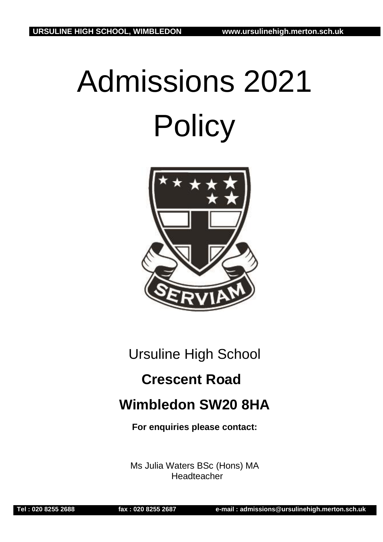# Admissions 2021 **Policy**



Ursuline High School

# **Crescent Road**

# **Wimbledon SW20 8HA**

**For enquiries please contact:**

Ms Julia Waters BSc (Hons) MA **Headteacher**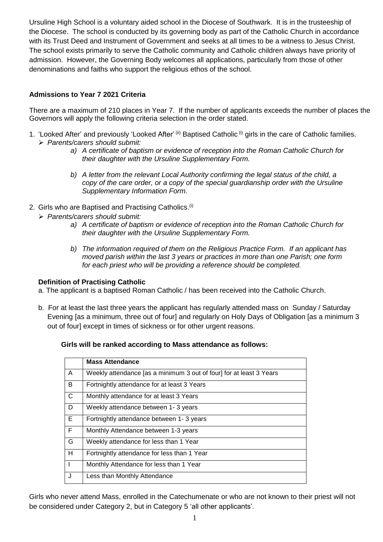Ursuline High School is a voluntary aided school in the Diocese of Southwark. It is in the trusteeship of the Diocese. The school is conducted by its governing body as part of the Catholic Church in accordance with its Trust Deed and Instrument of Government and seeks at all times to be a witness to Jesus Christ. The school exists primarily to serve the Catholic community and Catholic children always have priority of admission. However, the Governing Body welcomes all applications, particularly from those of other denominations and faiths who support the religious ethos of the school.

# **Admissions to Year 7 2021 Criteria**

There are a maximum of 210 places in Year 7. If the number of applicants exceeds the number of places the Governors will apply the following criteria selection in the order stated.

- 1. 'Looked After' and previously 'Looked After' (ii) Baptised Catholic (i) girls in the care of Catholic families. ➢ *Parents/carers should submit:*
	- *a) A certificate of baptism or evidence of reception into the Roman Catholic Church for their daughter with the Ursuline Supplementary Form.*
	- *b) A letter from the relevant Local Authority confirming the legal status of the child, a copy of the care order, or a copy of the special guardianship order with the Ursuline Supplementary Information Form.*
- 2. Girls who are Baptised and Practising Catholics.<sup>(i)</sup>
	- ➢ *Parents/carers should submit:*
		- *a) A certificate of baptism or evidence of reception into the Roman Catholic Church for their daughter with the Ursuline Supplementary Form.*
		- *b) The information required of them on the Religious Practice Form. If an applicant has moved parish within the last 3 years or practices in more than one Parish; one form for each priest who will be providing a reference should be completed.*

# **Definition of Practising Catholic**

- a. The applicant is a baptised Roman Catholic / has been received into the Catholic Church.
- b. For at least the last three years the applicant has regularly attended mass on Sunday / Saturday Evening [as a minimum, three out of four] and regularly on Holy Days of Obligation [as a minimum 3 out of four] except in times of sickness or for other urgent reasons.

# **Girls will be ranked according to Mass attendance as follows:**

|              | <b>Mass Attendance</b>                                              |
|--------------|---------------------------------------------------------------------|
| A            | Weekly attendance [as a minimum 3 out of four] for at least 3 Years |
| B            | Fortnightly attendance for at least 3 Years                         |
| $\mathsf{C}$ | Monthly attendance for at least 3 Years                             |
| D            | Weekly attendance between 1-3 years                                 |
| E.           | Fortnightly attendance between 1-3 years                            |
| F            | Monthly Attendance between 1-3 years                                |
| G            | Weekly attendance for less than 1 Year                              |
| H            | Fortnightly attendance for less than 1 Year                         |
|              | Monthly Attendance for less than 1 Year                             |
| J            | Less than Monthly Attendance                                        |

Girls who never attend Mass, enrolled in the Catechumenate or who are not known to their priest will not be considered under Category 2, but in Category 5 'all other applicants'.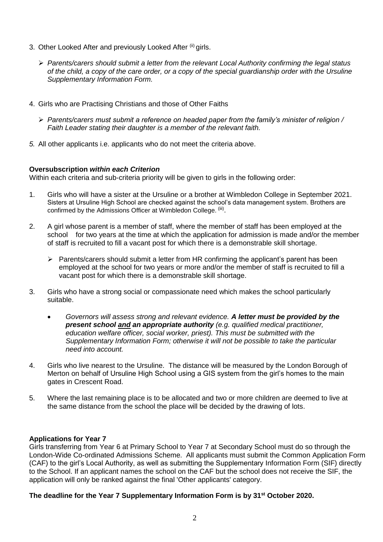- 3. Other Looked After and previously Looked After (ii) girls.
	- ➢ *Parents/carers should submit a letter from the relevant Local Authority confirming the legal status of the child, a copy of the care order, or a copy of the special guardianship order with the Ursuline Supplementary Information Form.*
- 4. Girls who are Practising Christians and those of Other Faiths
	- ➢ *Parents/carers must submit a reference on headed paper from the family's minister of religion / Faith Leader stating their daughter is a member of the relevant faith.*
- *5.* All other applicants i.e. applicants who do not meet the criteria above.

#### **Oversubscription** *within each Criterion*

Within each criteria and sub-criteria priority will be given to girls in the following order:

- 1. Girls who will have a sister at the Ursuline or a brother at Wimbledon College in September 2021. Sisters at Ursuline High School are checked against the school's data management system. Brothers are confirmed by the Admissions Officer at Wimbledon College. <sup>(iii)</sup>.
- 2. A girl whose parent is a member of staff, where the member of staff has been employed at the school for two years at the time at which the application for admission is made and/or the member of staff is recruited to fill a vacant post for which there is a demonstrable skill shortage.
	- ➢ Parents/carers should submit a letter from HR confirming the applicant's parent has been employed at the school for two years or more and/or the member of staff is recruited to fill a vacant post for which there is a demonstrable skill shortage.
- 3. Girls who have a strong social or compassionate need which makes the school particularly suitable.
	- *Governors will assess strong and relevant evidence. A letter must be provided by the present school and an appropriate authority (e.g. qualified medical practitioner, education welfare officer, social worker, priest). This must be submitted with the Supplementary Information Form; otherwise it will not be possible to take the particular need into account.*
- 4. Girls who live nearest to the Ursuline. The distance will be measured by the London Borough of Merton on behalf of Ursuline High School using a GIS system from the girl's homes to the main gates in Crescent Road.
- 5. Where the last remaining place is to be allocated and two or more children are deemed to live at the same distance from the school the place will be decided by the drawing of lots.

# **Applications for Year 7**

Girls transferring from Year 6 at Primary School to Year 7 at Secondary School must do so through the London-Wide Co-ordinated Admissions Scheme. All applicants must submit the Common Application Form (CAF) to the girl's Local Authority, as well as submitting the Supplementary Information Form (SIF) directly to the School. If an applicant names the school on the CAF but the school does not receive the SIF, the application will only be ranked against the final 'Other applicants' category.

#### **The deadline for the Year 7 Supplementary Information Form is by 31 st October 2020.**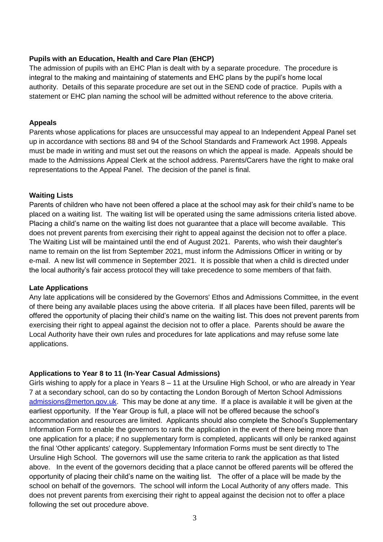# **Pupils with an Education, Health and Care Plan (EHCP)**

The admission of pupils with an EHC Plan is dealt with by a separate procedure. The procedure is integral to the making and maintaining of statements and EHC plans by the pupil's home local authority. Details of this separate procedure are set out in the SEND code of practice. Pupils with a statement or EHC plan naming the school will be admitted without reference to the above criteria.

# **Appeals**

Parents whose applications for places are unsuccessful may appeal to an Independent Appeal Panel set up in accordance with sections 88 and 94 of the School Standards and Framework Act 1998. Appeals must be made in writing and must set out the reasons on which the appeal is made. Appeals should be made to the Admissions Appeal Clerk at the school address. Parents/Carers have the right to make oral representations to the Appeal Panel. The decision of the panel is final.

# **Waiting Lists**

Parents of children who have not been offered a place at the school may ask for their child's name to be placed on a waiting list. The waiting list will be operated using the same admissions criteria listed above. Placing a child's name on the waiting list does not guarantee that a place will become available. This does not prevent parents from exercising their right to appeal against the decision not to offer a place. The Waiting List will be maintained until the end of August 2021. Parents, who wish their daughter's name to remain on the list from September 2021, must inform the Admissions Officer in writing or by e-mail. A new list will commence in September 2021. It is possible that when a child is directed under the local authority's fair access protocol they will take precedence to some members of that faith.

# **Late Applications**

Any late applications will be considered by the Governors' Ethos and Admissions Committee, in the event of there being any available places using the above criteria. If all places have been filled, parents will be offered the opportunity of placing their child's name on the waiting list. This does not prevent parents from exercising their right to appeal against the decision not to offer a place. Parents should be aware the Local Authority have their own rules and procedures for late applications and may refuse some late applications.

# **Applications to Year 8 to 11 (In-Year Casual Admissions)**

Girls wishing to apply for a place in Years 8 – 11 at the Ursuline High School, or who are already in Year 7 at a secondary school, can do so by contacting the London Borough of Merton School Admissions [admissions@merton.gov.uk.](mailto:admissions@merton.gov.uk) This may be done at any time. If a place is available it will be given at the earliest opportunity. If the Year Group is full, a place will not be offered because the school's accommodation and resources are limited. Applicants should also complete the School's Supplementary Information Form to enable the governors to rank the application in the event of there being more than one application for a place; if no supplementary form is completed, applicants will only be ranked against the final 'Other applicants' category. Supplementary Information Forms must be sent directly to The Ursuline High School. The governors will use the same criteria to rank the application as that listed above. In the event of the governors deciding that a place cannot be offered parents will be offered the opportunity of placing their child's name on the waiting list. The offer of a place will be made by the school on behalf of the governors. The school will inform the Local Authority of any offers made. This does not prevent parents from exercising their right to appeal against the decision not to offer a place following the set out procedure above.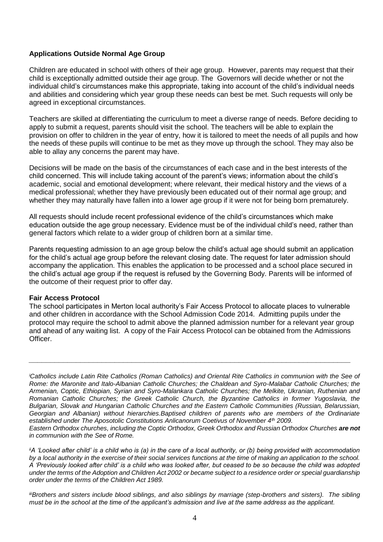# **Applications Outside Normal Age Group**

Children are educated in school with others of their age group. However, parents may request that their child is exceptionally admitted outside their age group. The Governors will decide whether or not the individual child's circumstances make this appropriate, taking into account of the child's individual needs and abilities and considering which year group these needs can best be met. Such requests will only be agreed in exceptional circumstances.

Teachers are skilled at differentiating the curriculum to meet a diverse range of needs. Before deciding to apply to submit a request, parents should visit the school. The teachers will be able to explain the provision on offer to children in the year of entry, how it is tailored to meet the needs of all pupils and how the needs of these pupils will continue to be met as they move up through the school. They may also be able to allay any concerns the parent may have.

Decisions will be made on the basis of the circumstances of each case and in the best interests of the child concerned. This will include taking account of the parent's views; information about the child's academic, social and emotional development; where relevant, their medical history and the views of a medical professional; whether they have previously been educated out of their normal age group; and whether they may naturally have fallen into a lower age group if it were not for being born prematurely.

All requests should include recent professional evidence of the child's circumstances which make education outside the age group necessary. Evidence must be of the individual child's need, rather than general factors which relate to a wider group of children born at a similar time.

Parents requesting admission to an age group below the child's actual age should submit an application for the child's actual age group before the relevant closing date. The request for later admission should accompany the application. This enables the application to be processed and a school place secured in the child's actual age group if the request is refused by the Governing Body. Parents will be informed of the outcome of their request prior to offer day.

# **Fair Access Protocol**

The school participates in Merton local authority's Fair Access Protocol to allocate places to vulnerable and other children in accordance with the School Admission Code 2014. Admitting pupils under the protocol may require the school to admit above the planned admission number for a relevant year group and ahead of any waiting list. A copy of the Fair Access Protocol can be obtained from the Admissions Officer.

*\_\_\_\_\_\_\_\_\_\_\_\_\_\_\_\_\_\_\_\_\_\_\_\_\_\_\_\_\_\_\_\_\_\_\_\_\_\_\_\_\_\_\_\_\_\_\_\_\_\_\_\_\_\_\_\_\_\_\_\_\_\_\_\_\_\_\_\_\_\_\_\_\_\_\_*

*<sup>i</sup>Catholics include Latin Rite Catholics (Roman Catholics) and Oriental Rite Catholics in communion with the See of Rome: the Maronite and Italo-Albanian Catholic Churches; the Chaldean and Syro-Malabar Catholic Churches; the Armenian, Coptic, Ethiopian, Syrian and Syro-Malankara Catholic Churches; the Melkite, Ukranian, Ruthenian and Romanian Catholic Churches; the Greek Catholic Church, the Byzantine Catholics in former Yugoslavia, the Bulgarian, Slovak and Hungarian Catholic Churches and the Eastern Catholic Communities (Russian, Belarussian, Georgian and Albanian) without hierarchies.Baptised children of parents who are members of the Ordinariate established under The Aposotolic Constitutions Anlicanorum Coetivus of November 4th 2009. Eastern Orthodox churches, including the Coptic Orthodox, Greek Orthodox and Russian Orthodox Churches are not* 

*in communion with the See of Rome.*

*iiA 'Looked after child' is a child who is (a) in the care of a local authority, or (b) being provided with accommodation by a local authority in the exercise of their social services functions at the time of making an application to the school. A 'Previously looked after child' is a child who was looked after, but ceased to be so because the child was adopted under the terms of the Adoption and Children Act 2002 or became subject to a residence order or special guardianship order under the terms of the Children Act 1989.*

*iiiBrothers and sisters include blood siblings, and also siblings by marriage (step-brothers and sisters). The sibling must be in the school at the time of the applicant's admission and live at the same address as the applicant.*